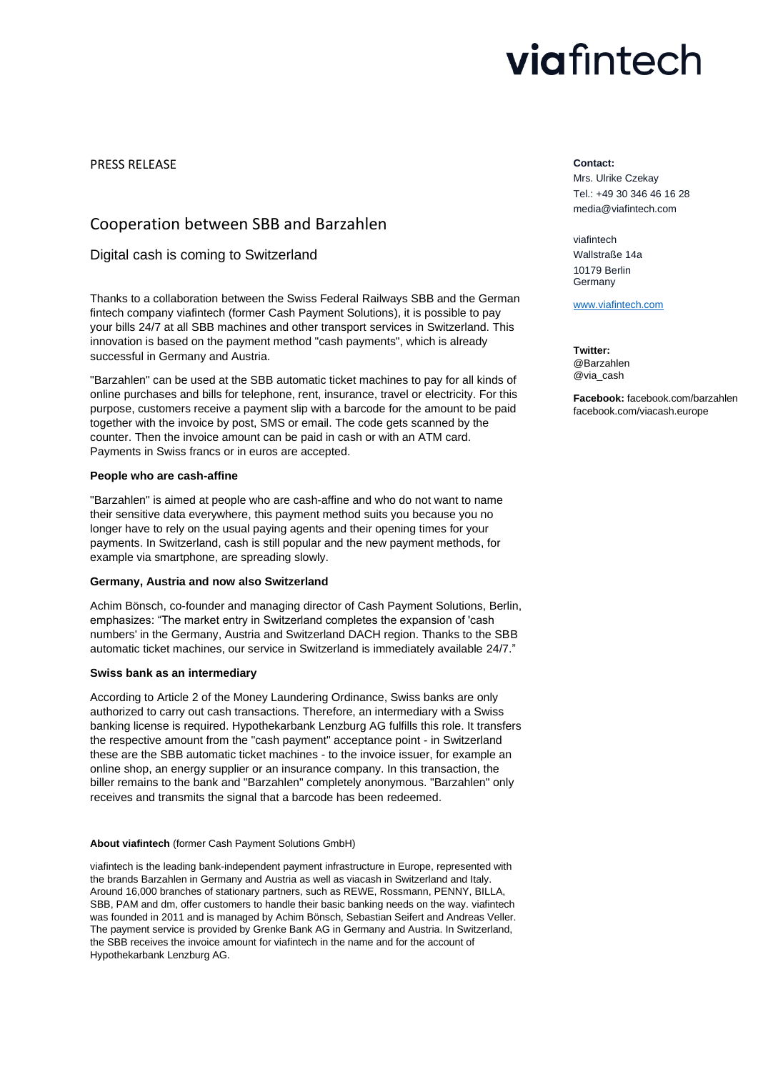# viafintech

PRESS RELEASE

# Cooperation between SBB and Barzahlen

# Digital cash is coming to Switzerland

Thanks to a collaboration between the Swiss Federal Railways SBB and the German fintech company viafintech (former Cash Payment Solutions), it is possible to pay your bills 24/7 at all SBB machines and other transport services in Switzerland. This innovation is based on the payment method "cash payments", which is already successful in Germany and Austria.

"Barzahlen" can be used at the SBB automatic ticket machines to pay for all kinds of online purchases and bills for telephone, rent, insurance, travel or electricity. For this purpose, customers receive a payment slip with a barcode for the amount to be paid together with the invoice by post, SMS or email. The code gets scanned by the counter. Then the invoice amount can be paid in cash or with an ATM card. Payments in Swiss francs or in euros are accepted.

# **People who are cash-affine**

"Barzahlen" is aimed at people who are cash-affine and who do not want to name their sensitive data everywhere, this payment method suits you because you no longer have to rely on the usual paying agents and their opening times for your payments. In Switzerland, cash is still popular and the new payment methods, for example via smartphone, are spreading slowly.

## **Germany, Austria and now also Switzerland**

Achim Bönsch, co-founder and managing director of Cash Payment Solutions, Berlin, emphasizes: "The market entry in Switzerland completes the expansion of 'cash numbers' in the Germany, Austria and Switzerland DACH region. Thanks to the SBB automatic ticket machines, our service in Switzerland is immediately available 24/7."

# **Swiss bank as an intermediary**

According to Article 2 of the Money Laundering Ordinance, Swiss banks are only authorized to carry out cash transactions. Therefore, an intermediary with a Swiss banking license is required. Hypothekarbank Lenzburg AG fulfills this role. It transfers the respective amount from the "cash payment" acceptance point - in Switzerland these are the SBB automatic ticket machines - to the invoice issuer, for example an online shop, an energy supplier or an insurance company. In this transaction, the biller remains to the bank and "Barzahlen" completely anonymous. "Barzahlen" only receives and transmits the signal that a barcode has been redeemed.

## **About viafintech** (former Cash Payment Solutions GmbH)

viafintech is the leading bank-independent payment infrastructure in Europe, represented with the brands Barzahlen in Germany and Austria as well as viacash in Switzerland and Italy. Around 16,000 branches of stationary partners, such as REWE, Rossmann, PENNY, BILLA, SBB, PAM and dm, offer customers to handle their basic banking needs on the way. viafintech was founded in 2011 and is managed by Achim Bönsch, Sebastian Seifert and Andreas Veller. The payment service is provided by Grenke Bank AG in Germany and Austria. In Switzerland, the SBB receives the invoice amount for viafintech in the name and for the account of Hypothekarbank Lenzburg AG.

#### **Contact:**

Mrs. Ulrike Czekay Tel.: +49 30 346 46 16 28 media@viafintech.com

viafintech Wallstraße 14a 10179 Berlin Germany

[www.viafintech.com](http://www.viafintech.com/)

**Twitter:** @Barzahlen @via\_cash

**Facebook:** facebook.com/barzahlen facebook.com/viacash.europe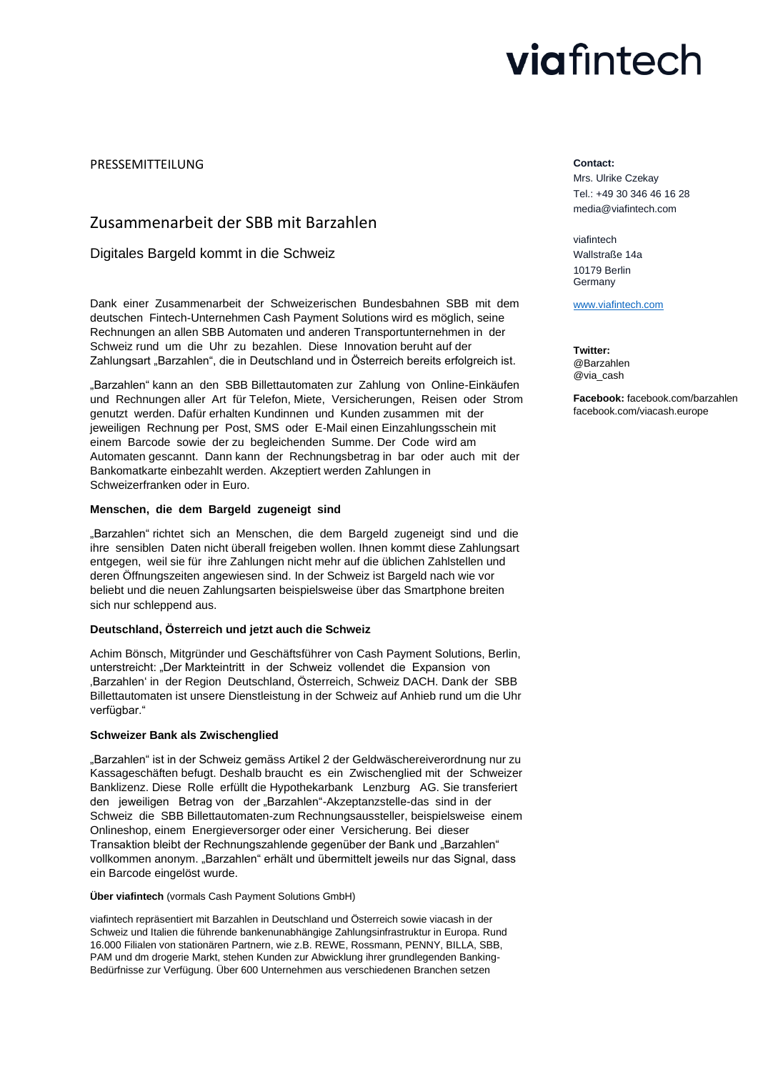# viafintech

PRESSEMITTEILUNG

# Zusammenarbeit der SBB mit Barzahlen

Digitales Bargeld kommt in die Schweiz

Dank einer Zusammenarbeit der Schweizerischen Bundesbahnen SBB mit dem deutschen Fintech-Unternehmen Cash Payment Solutions wird es möglich, seine Rechnungen an allen SBB Automaten und anderen Transportunternehmen in der Schweiz rund um die Uhr zu bezahlen. Diese Innovation beruht auf der Zahlungsart "Barzahlen", die in Deutschland und in Österreich bereits erfolgreich ist.

"Barzahlen" kann an den SBB Billettautomaten zur Zahlung von Online-Einkäufen und Rechnungen aller Art für Telefon, Miete, Versicherungen, Reisen oder Strom genutzt werden. Dafür erhalten Kundinnen und Kunden zusammen mit der jeweiligen Rechnung per Post, SMS oder E-Mail einen Einzahlungsschein mit einem Barcode sowie der zu begleichenden Summe. Der Code wird am Automaten gescannt. Dann kann der Rechnungsbetrag in bar oder auch mit der Bankomatkarte einbezahlt werden. Akzeptiert werden Zahlungen in Schweizerfranken oder in Euro.

# **Menschen, die dem Bargeld zugeneigt sind**

"Barzahlen" richtet sich an Menschen, die dem Bargeld zugeneigt sind und die ihre sensiblen Daten nicht überall freigeben wollen. Ihnen kommt diese Zahlungsart entgegen, weil sie für ihre Zahlungen nicht mehr auf die üblichen Zahlstellen und deren Öffnungszeiten angewiesen sind. In der Schweiz ist Bargeld nach wie vor beliebt und die neuen Zahlungsarten beispielsweise über das Smartphone breiten sich nur schleppend aus.

## **Deutschland, Österreich und jetzt auch die Schweiz**

Achim Bönsch, Mitgründer und Geschäftsführer von Cash Payment Solutions, Berlin, unterstreicht: "Der Markteintritt in der Schweiz vollendet die Expansion von 'Barzahlen' in der Region Deutschland, Österreich, Schweiz DACH. Dank der SBB Billettautomaten ist unsere Dienstleistung in der Schweiz auf Anhieb rund um die Uhr verfügbar."

## **Schweizer Bank als Zwischenglied**

"Barzahlen" ist in der Schweiz gemäss Artikel 2 der Geldwäschereiverordnung nur zu Kassageschäften befugt. Deshalb braucht es ein Zwischenglied mit der Schweizer Banklizenz. Diese Rolle erfüllt die Hypothekarbank Lenzburg AG. Sie transferiert den jeweiligen Betrag von der "Barzahlen"-Akzeptanzstelle-das sind in der Schweiz die SBB Billettautomaten-zum Rechnungsaussteller, beispielsweise einem Onlineshop, einem Energieversorger oder einer Versicherung. Bei dieser Transaktion bleibt der Rechnungszahlende gegenüber der Bank und "Barzahlen" vollkommen anonym. "Barzahlen" erhält und übermittelt jeweils nur das Signal, dass ein Barcode eingelöst wurde.

## **Über viafintech** (vormals Cash Payment Solutions GmbH)

viafintech repräsentiert mit Barzahlen in Deutschland und Österreich sowie viacash in der Schweiz und Italien die führende bankenunabhängige Zahlungsinfrastruktur in Europa. Rund 16.000 Filialen von stationären Partnern, wie z.B. REWE, Rossmann, PENNY, BILLA, SBB, PAM und dm drogerie Markt, stehen Kunden zur Abwicklung ihrer grundlegenden Banking-Bedürfnisse zur Verfügung. Über 600 Unternehmen aus verschiedenen Branchen setzen

#### **Contact:**

Mrs. Ulrike Czekay Tel.: +49 30 346 46 16 28 media@viafintech.com

viafintech Wallstraße 14a 10179 Berlin Germany

[www.viafintech.com](http://www.viafintech.com/)

**Twitter:** @Barzahlen @via\_cash

**Facebook:** facebook.com/barzahlen facebook.com/viacash.europe